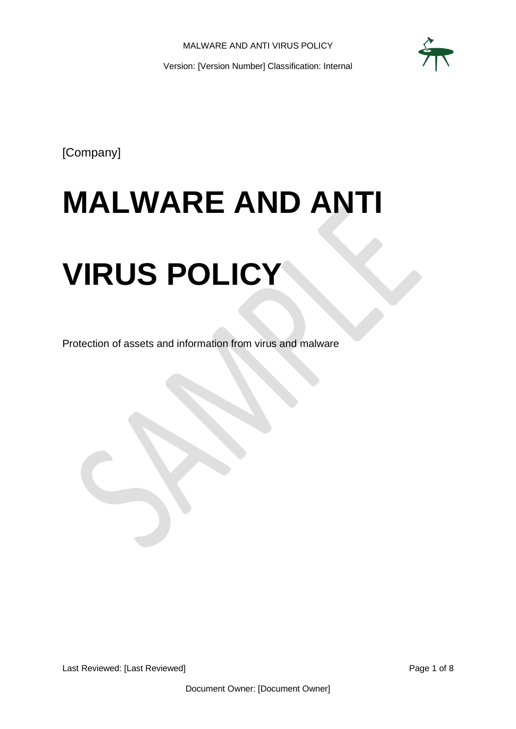

[Company]

# **MALWARE AND ANTI**

# **VIRUS POLICY**

Protection of assets and information from virus and malware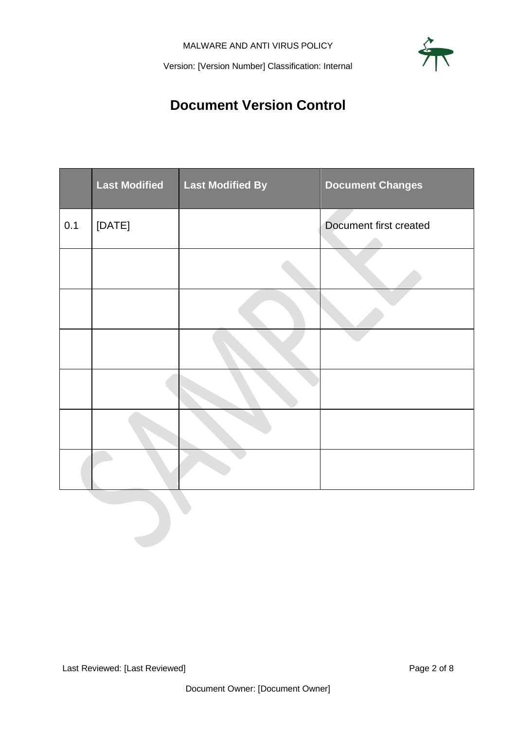

## **Document Version Control**

<span id="page-1-0"></span>

|     | <b>Last Modified</b> | <b>Last Modified By</b> | <b>Document Changes</b> |
|-----|----------------------|-------------------------|-------------------------|
| 0.1 | [DATE]               |                         | Document first created  |
|     |                      |                         |                         |
|     |                      |                         |                         |
|     |                      |                         |                         |
|     |                      |                         |                         |
|     |                      |                         |                         |
|     |                      |                         |                         |
|     |                      |                         |                         |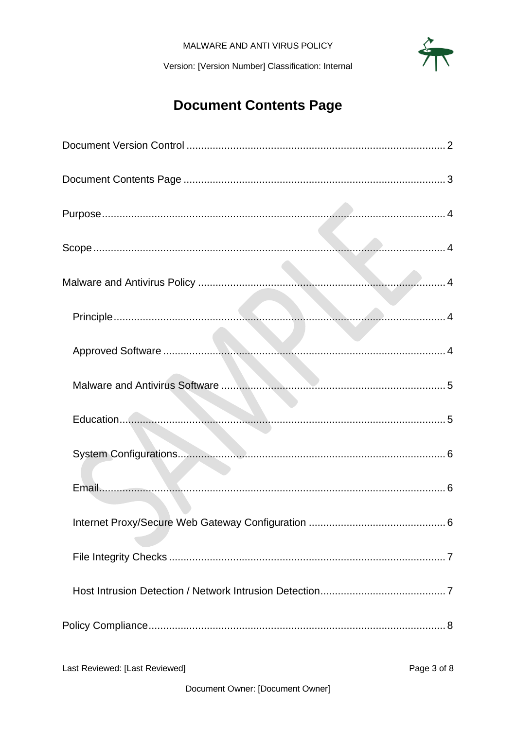$\frac{3}{4}$ 

Version: [Version Number] Classification: Internal

## **Document Contents Page**

<span id="page-2-0"></span>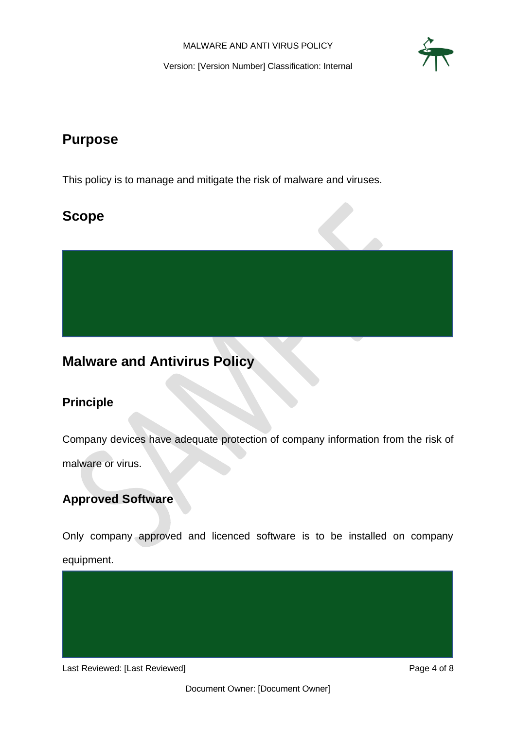

## <span id="page-3-0"></span>**Purpose**

This policy is to manage and mitigate the risk of malware and viruses.

## <span id="page-3-1"></span>**Scope**

<span id="page-3-2"></span>**Malware and Antivirus Policy**

#### <span id="page-3-3"></span>**Principle**

Company devices have adequate protection of company information from the risk of malware or virus.

#### <span id="page-3-4"></span>**Approved Software**

Only company approved and licenced software is to be installed on company equipment.

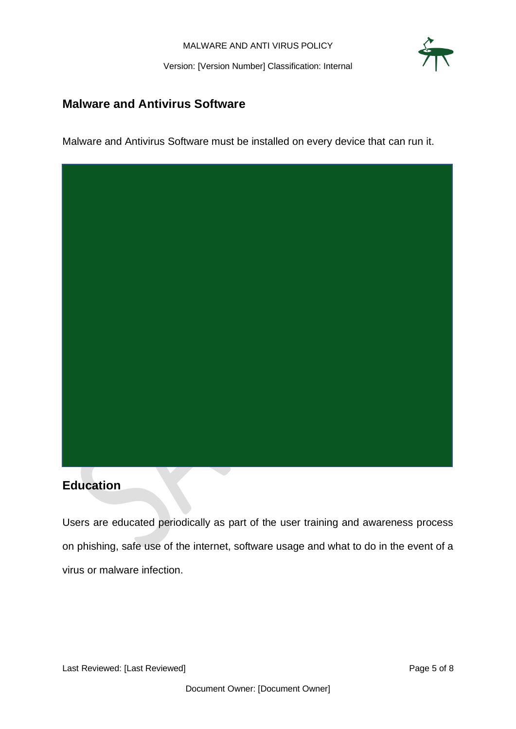

#### <span id="page-4-0"></span>**Malware and Antivirus Software**

Malware and Antivirus Software must be installed on every device that can run it.



#### <span id="page-4-1"></span>**Education**

Users are educated periodically as part of the user training and awareness process on phishing, safe use of the internet, software usage and what to do in the event of a virus or malware infection.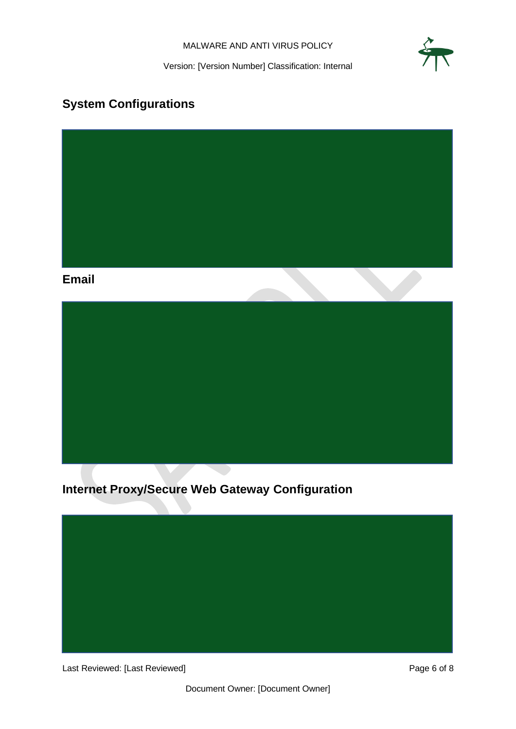MALWARE AND ANTI VIRUS POLICY



Version: [Version Number] Classification: Internal

## <span id="page-5-0"></span>**System Configurations**

<span id="page-5-1"></span>

### <span id="page-5-2"></span>**Internet Proxy/Secure Web Gateway Configuration**



Last Reviewed: [Last Reviewed] example 2014 and 2015 and 2016 and 2017 and 2018 and 2018 and 2019 and 2019 and 2019 and 2019 and 2019 and 2019 and 2019 and 2019 and 2019 and 2019 and 2019 and 2019 and 2019 and 2019 and 201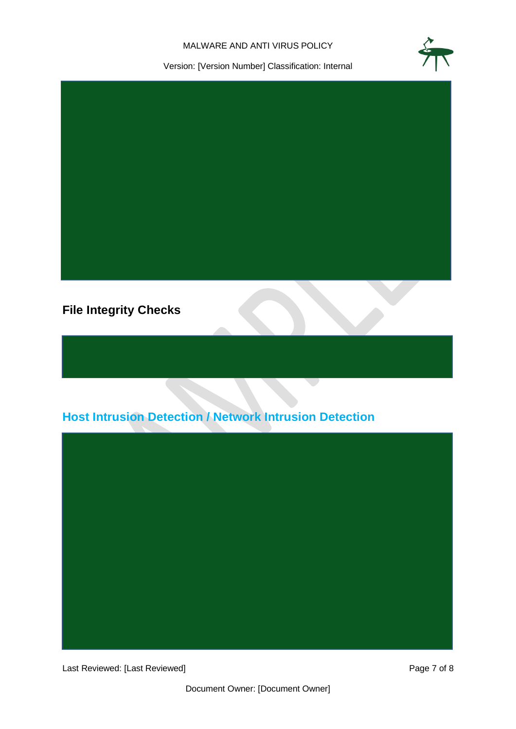#### MALWARE AND ANTI VIRUS POLICY



Version: [Version Number] Classification: Internal



### <span id="page-6-0"></span>**File Integrity Checks**

## <span id="page-6-1"></span>**Host Intrusion Detection / Network Intrusion Detection**



Last Reviewed: [Last Reviewed] example 2 of 8